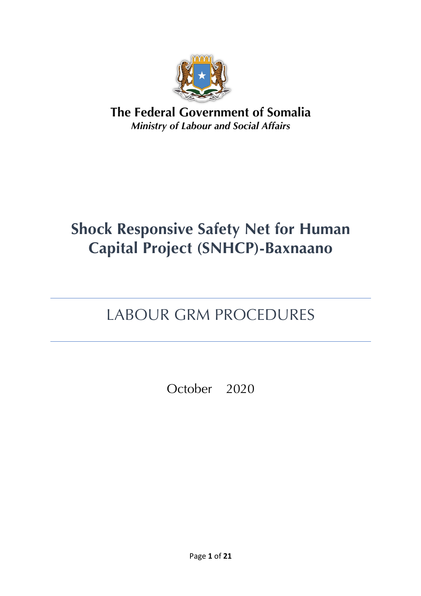

**The Federal Government of Somalia** *Ministry of Labour and Social Affairs*

# **Shock Responsive Safety Net for Human Capital Project (SNHCP)-Baxnaano**

# LABOUR GRM PROCEDURES

October 2020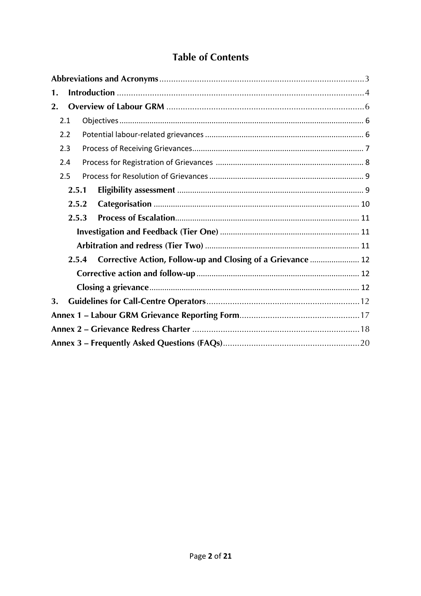## **Table of Contents**

| 1.  |       |                                                             |  |  |
|-----|-------|-------------------------------------------------------------|--|--|
| 2.  |       |                                                             |  |  |
| 2.1 |       |                                                             |  |  |
|     | 2.2   |                                                             |  |  |
|     | 2.3   |                                                             |  |  |
|     | 2.4   |                                                             |  |  |
|     | 2.5   |                                                             |  |  |
|     | 2.5.1 |                                                             |  |  |
|     | 2.5.2 |                                                             |  |  |
|     | 2.5.3 |                                                             |  |  |
|     |       |                                                             |  |  |
|     |       |                                                             |  |  |
|     | 2.5.4 | Corrective Action, Follow-up and Closing of a Grievance  12 |  |  |
|     |       |                                                             |  |  |
|     |       |                                                             |  |  |
| 3.  |       |                                                             |  |  |
|     |       |                                                             |  |  |
|     |       |                                                             |  |  |
|     |       |                                                             |  |  |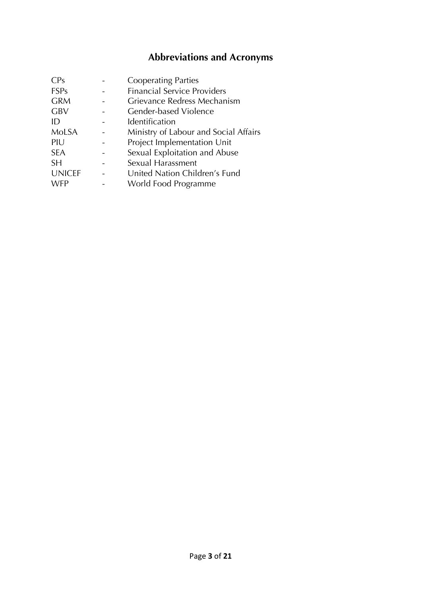# **Abbreviations and Acronyms**

| <b>CPs</b>    | <b>Cooperating Parties</b>            |
|---------------|---------------------------------------|
| <b>FSPs</b>   | <b>Financial Service Providers</b>    |
| <b>GRM</b>    | Grievance Redress Mechanism           |
| <b>GBV</b>    | Gender-based Violence                 |
| ID            | Identification                        |
| <b>MoLSA</b>  | Ministry of Labour and Social Affairs |
| PIU           | Project Implementation Unit           |
| <b>SEA</b>    | Sexual Exploitation and Abuse         |
| <b>SH</b>     | Sexual Harassment                     |
| <b>UNICEF</b> | United Nation Children's Fund         |
| <b>WFP</b>    | World Food Programme                  |
|               |                                       |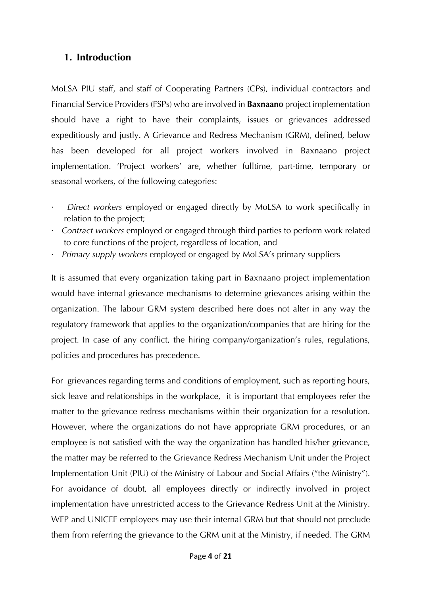### **1. Introduction**

MoLSA PIU staff, and staff of Cooperating Partners (CPs), individual contractors and Financial Service Providers (FSPs) who are involved in **Baxnaano** project implementation should have a right to have their complaints, issues or grievances addressed expeditiously and justly. A Grievance and Redress Mechanism (GRM), defined, below has been developed for all project workers involved in Baxnaano project implementation. 'Project workers' are, whether fulltime, part-time, temporary or seasonal workers, of the following categories:

- · *Direct workers* employed or engaged directly by MoLSA to work specifically in relation to the project;
- · *Contract workers* employed or engaged through third parties to perform work related to core functions of the project, regardless of location, and
- · *Primary supply workers* employed or engaged by MoLSA's primary suppliers

It is assumed that every organization taking part in Baxnaano project implementation would have internal grievance mechanisms to determine grievances arising within the organization. The labour GRM system described here does not alter in any way the regulatory framework that applies to the organization/companies that are hiring for the project. In case of any conflict, the hiring company/organization's rules, regulations, policies and procedures has precedence.

For grievances regarding terms and conditions of employment, such as reporting hours, sick leave and relationships in the workplace, it is important that employees refer the matter to the grievance redress mechanisms within their organization for a resolution. However, where the organizations do not have appropriate GRM procedures, or an employee is not satisfied with the way the organization has handled his/her grievance, the matter may be referred to the Grievance Redress Mechanism Unit under the Project Implementation Unit (PIU) of the Ministry of Labour and Social Affairs ("the Ministry"). For avoidance of doubt, all employees directly or indirectly involved in project implementation have unrestricted access to the Grievance Redress Unit at the Ministry. WFP and UNICEF employees may use their internal GRM but that should not preclude them from referring the grievance to the GRM unit at the Ministry, if needed. The GRM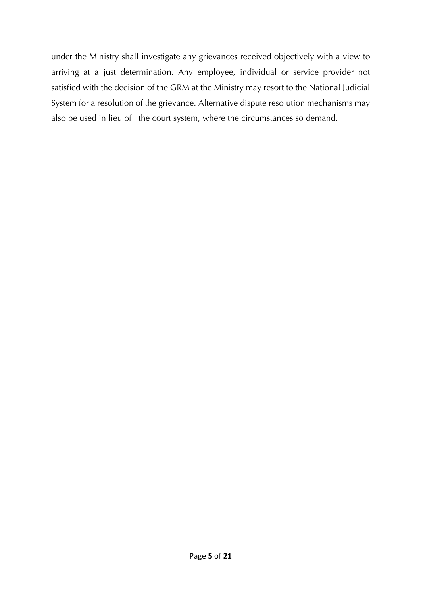under the Ministry shall investigate any grievances received objectively with a view to arriving at a just determination. Any employee, individual or service provider not satisfied with the decision of the GRM at the Ministry may resort to the National Judicial System for a resolution of the grievance. Alternative dispute resolution mechanisms may also be used in lieu of the court system, where the circumstances so demand.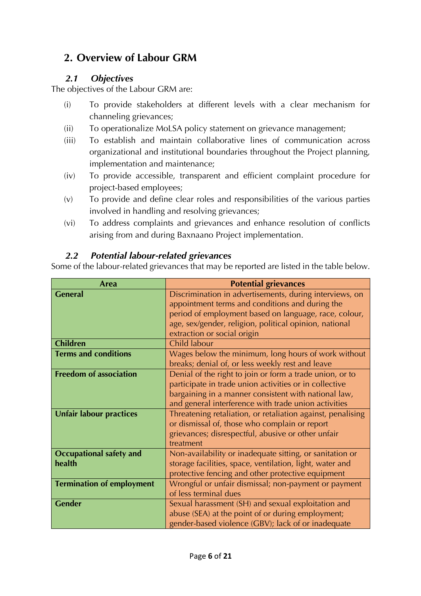## **2. Overview of Labour GRM**

### *2.1 Objectives*

The objectives of the Labour GRM are:

- (i) To provide stakeholders at different levels with a clear mechanism for channeling grievances;
- (ii) To operationalize MoLSA policy statement on grievance management;
- (iii) To establish and maintain collaborative lines of communication across organizational and institutional boundaries throughout the Project planning, implementation and maintenance;
- (iv) To provide accessible, transparent and efficient complaint procedure for project-based employees;
- (v) To provide and define clear roles and responsibilities of the various parties involved in handling and resolving grievances;
- (vi) To address complaints and grievances and enhance resolution of conflicts arising from and during Baxnaano Project implementation.

### *2.2 Potential labour-related grievances*

Some of the labour-related grievances that may be reported are listed in the table below.

| <b>Area</b>                      | <b>Potential grievances</b>                                 |
|----------------------------------|-------------------------------------------------------------|
| <b>General</b>                   | Discrimination in advertisements, during interviews, on     |
|                                  | appointment terms and conditions and during the             |
|                                  | period of employment based on language, race, colour,       |
|                                  | age, sex/gender, religion, political opinion, national      |
|                                  | extraction or social origin                                 |
| <b>Children</b>                  | Child labour                                                |
| <b>Terms and conditions</b>      | Wages below the minimum, long hours of work without         |
|                                  | breaks; denial of, or less weekly rest and leave            |
| <b>Freedom of association</b>    | Denial of the right to join or form a trade union, or to    |
|                                  | participate in trade union activities or in collective      |
|                                  | bargaining in a manner consistent with national law,        |
|                                  | and general interference with trade union activities        |
| <b>Unfair labour practices</b>   | Threatening retaliation, or retaliation against, penalising |
|                                  | or dismissal of, those who complain or report               |
|                                  | grievances; disrespectful, abusive or other unfair          |
|                                  | treatment                                                   |
| <b>Occupational safety and</b>   | Non-availability or inadequate sitting, or sanitation or    |
| health                           | storage facilities, space, ventilation, light, water and    |
|                                  | protective fencing and other protective equipment           |
| <b>Termination of employment</b> | Wrongful or unfair dismissal; non-payment or payment        |
|                                  | of less terminal dues                                       |
| <b>Gender</b>                    | Sexual harassment (SH) and sexual exploitation and          |
|                                  | abuse (SEA) at the point of or during employment;           |
|                                  | gender-based violence (GBV); lack of or inadequate          |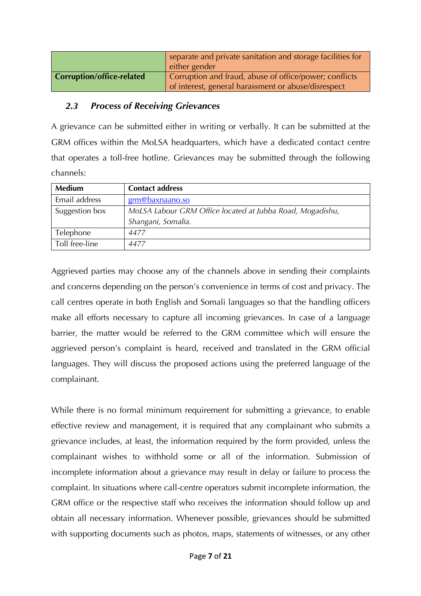|                           | separate and private sanitation and storage facilities for |  |  |
|---------------------------|------------------------------------------------------------|--|--|
|                           | either gender                                              |  |  |
| Corruption/office-related | Corruption and fraud, abuse of office/power; conflicts     |  |  |
|                           | of interest, general harassment or abuse/disrespect        |  |  |

#### *2.3 Process of Receiving Grievances*

A grievance can be submitted either in writing or verbally. It can be submitted at the GRM offices within the MoLSA headquarters, which have a dedicated contact centre that operates a toll-free hotline. Grievances may be submitted through the following channels:

| <b>Medium</b>  | <b>Contact address</b>                                    |  |
|----------------|-----------------------------------------------------------|--|
| Email address  | grm@baxnaano.so                                           |  |
| Suggestion box | MoLSA Labour GRM Office located at Jubba Road, Mogadishu, |  |
|                | Shangani, Somalia.                                        |  |
| Telephone      | 4477                                                      |  |
| Toll free-line | 4477                                                      |  |

Aggrieved parties may choose any of the channels above in sending their complaints and concerns depending on the person's convenience in terms of cost and privacy. The call centres operate in both English and Somali languages so that the handling officers make all efforts necessary to capture all incoming grievances. In case of a language barrier, the matter would be referred to the GRM committee which will ensure the aggrieved person's complaint is heard, received and translated in the GRM official languages. They will discuss the proposed actions using the preferred language of the complainant.

While there is no formal minimum requirement for submitting a grievance, to enable effective review and management, it is required that any complainant who submits a grievance includes, at least, the information required by the form provided, unless the complainant wishes to withhold some or all of the information. Submission of incomplete information about a grievance may result in delay or failure to process the complaint. In situations where call-centre operators submit incomplete information, the GRM office or the respective staff who receives the information should follow up and obtain all necessary information. Whenever possible, grievances should be submitted with supporting documents such as photos, maps, statements of witnesses, or any other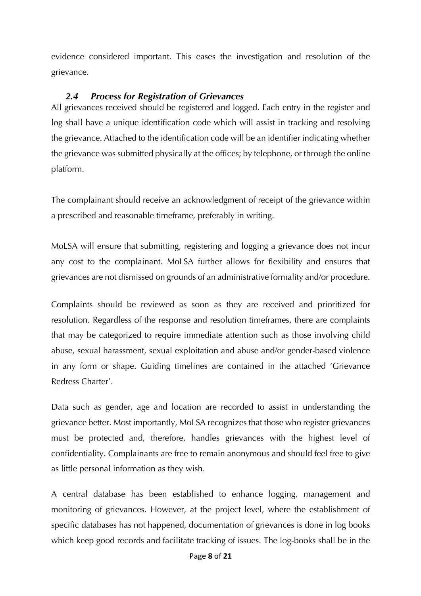evidence considered important. This eases the investigation and resolution of the grievance.

#### *2.4 Process for Registration of Grievances*

All grievances received should be registered and logged. Each entry in the register and log shall have a unique identification code which will assist in tracking and resolving the grievance. Attached to the identification code will be an identifier indicating whether the grievance was submitted physically at the offices; by telephone, or through the online platform.

The complainant should receive an acknowledgment of receipt of the grievance within a prescribed and reasonable timeframe, preferably in writing.

MoLSA will ensure that submitting, registering and logging a grievance does not incur any cost to the complainant. MoLSA further allows for flexibility and ensures that grievances are not dismissed on grounds of an administrative formality and/or procedure.

Complaints should be reviewed as soon as they are received and prioritized for resolution. Regardless of the response and resolution timeframes, there are complaints that may be categorized to require immediate attention such as those involving child abuse, sexual harassment, sexual exploitation and abuse and/or gender-based violence in any form or shape. Guiding timelines are contained in the attached 'Grievance Redress Charter'.

Data such as gender, age and location are recorded to assist in understanding the grievance better. Most importantly, MoLSA recognizes that those who register grievances must be protected and, therefore, handles grievances with the highest level of confidentiality. Complainants are free to remain anonymous and should feel free to give as little personal information as they wish.

A central database has been established to enhance logging, management and monitoring of grievances. However, at the project level, where the establishment of specific databases has not happened, documentation of grievances is done in log books which keep good records and facilitate tracking of issues. The log-books shall be in the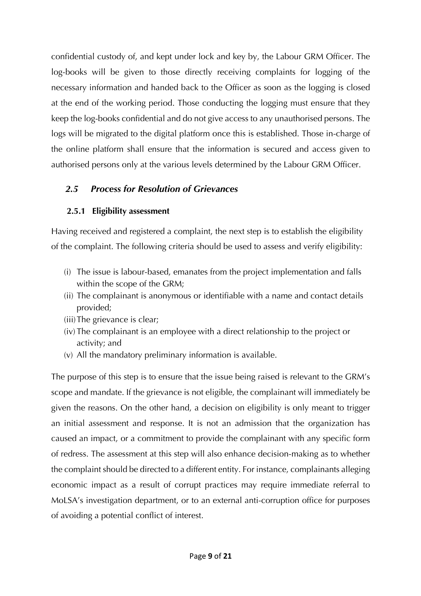confidential custody of, and kept under lock and key by, the Labour GRM Officer. The log-books will be given to those directly receiving complaints for logging of the necessary information and handed back to the Officer as soon as the logging is closed at the end of the working period. Those conducting the logging must ensure that they keep the log-books confidential and do not give access to any unauthorised persons. The logs will be migrated to the digital platform once this is established. Those in-charge of the online platform shall ensure that the information is secured and access given to authorised persons only at the various levels determined by the Labour GRM Officer.

## *2.5 Process for Resolution of Grievances*

## **2.5.1 Eligibility assessment**

Having received and registered a complaint, the next step is to establish the eligibility of the complaint. The following criteria should be used to assess and verify eligibility:

- (i) The issue is labour-based, emanates from the project implementation and falls within the scope of the GRM;
- (ii) The complainant is anonymous or identifiable with a name and contact details provided;
- (iii)The grievance is clear;
- (iv) The complainant is an employee with a direct relationship to the project or activity; and
- (v) All the mandatory preliminary information is available.

The purpose of this step is to ensure that the issue being raised is relevant to the GRM's scope and mandate. If the grievance is not eligible, the complainant will immediately be given the reasons. On the other hand, a decision on eligibility is only meant to trigger an initial assessment and response. It is not an admission that the organization has caused an impact, or a commitment to provide the complainant with any specific form of redress. The assessment at this step will also enhance decision-making as to whether the complaint should be directed to a different entity. For instance, complainants alleging economic impact as a result of corrupt practices may require immediate referral to MoLSA's investigation department, or to an external anti-corruption office for purposes of avoiding a potential conflict of interest.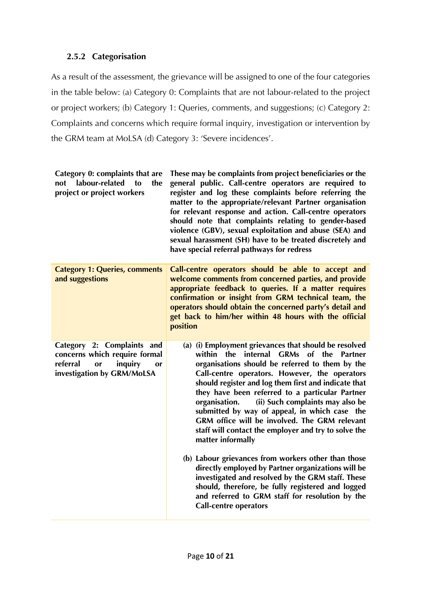#### **2.5.2 Categorisation**

As a result of the assessment, the grievance will be assigned to one of the four categories in the table below: (a) Category 0: Complaints that are not labour-related to the project or project workers; (b) Category 1: Queries, comments, and suggestions; (c) Category 2: Complaints and concerns which require formal inquiry, investigation or intervention by the GRM team at MoLSA (d) Category 3: 'Severe incidences'.

| These may be complaints from project beneficiaries or the<br>general public. Call-centre operators are required to<br>register and log these complaints before referring the<br>matter to the appropriate/relevant Partner organisation<br>for relevant response and action. Call-centre operators<br>should note that complaints relating to gender-based<br>violence (GBV), sexual exploitation and abuse (SEA) and<br>sexual harassment (SH) have to be treated discretely and<br>have special referral pathways for redress                                                                                                                                                                                                                                                                                                  |
|----------------------------------------------------------------------------------------------------------------------------------------------------------------------------------------------------------------------------------------------------------------------------------------------------------------------------------------------------------------------------------------------------------------------------------------------------------------------------------------------------------------------------------------------------------------------------------------------------------------------------------------------------------------------------------------------------------------------------------------------------------------------------------------------------------------------------------|
| Call-centre operators should be able to accept and<br>welcome comments from concerned parties, and provide<br>appropriate feedback to queries. If a matter requires<br>confirmation or insight from GRM technical team, the<br>operators should obtain the concerned party's detail and<br>get back to him/her within 48 hours with the official<br>position                                                                                                                                                                                                                                                                                                                                                                                                                                                                     |
| (a) (i) Employment grievances that should be resolved<br>within<br>the internal GRMs of the Partner<br>organisations should be referred to them by the<br>Call-centre operators. However, the operators<br>should register and log them first and indicate that<br>they have been referred to a particular Partner<br>(ii) Such complaints may also be<br>organisation.<br>submitted by way of appeal, in which case the<br>GRM office will be involved. The GRM relevant<br>staff will contact the employer and try to solve the<br>matter informally<br>(b) Labour grievances from workers other than those<br>directly employed by Partner organizations will be<br>investigated and resolved by the GRM staff. These<br>should, therefore, be fully registered and logged<br>and referred to GRM staff for resolution by the |
|                                                                                                                                                                                                                                                                                                                                                                                                                                                                                                                                                                                                                                                                                                                                                                                                                                  |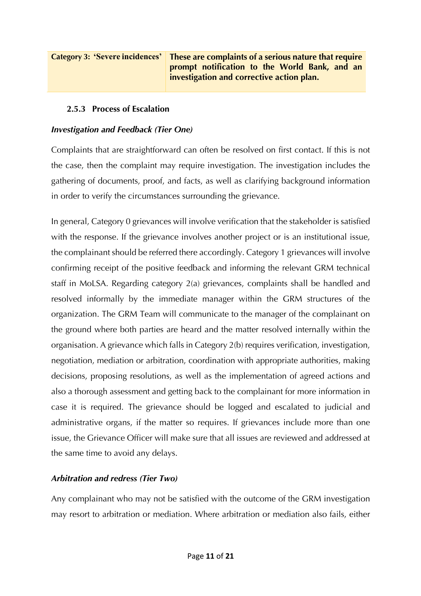#### **2.5.3 Process of Escalation**

#### *Investigation and Feedback (Tier One)*

Complaints that are straightforward can often be resolved on first contact. If this is not the case, then the complaint may require investigation. The investigation includes the gathering of documents, proof, and facts, as well as clarifying background information in order to verify the circumstances surrounding the grievance.

In general, Category 0 grievances will involve verification that the stakeholder is satisfied with the response. If the grievance involves another project or is an institutional issue, the complainant should be referred there accordingly. Category 1 grievances will involve confirming receipt of the positive feedback and informing the relevant GRM technical staff in MoLSA. Regarding category 2(a) grievances, complaints shall be handled and resolved informally by the immediate manager within the GRM structures of the organization. The GRM Team will communicate to the manager of the complainant on the ground where both parties are heard and the matter resolved internally within the organisation. A grievance which falls in Category 2(b) requires verification, investigation, negotiation, mediation or arbitration, coordination with appropriate authorities, making decisions, proposing resolutions, as well as the implementation of agreed actions and also a thorough assessment and getting back to the complainant for more information in case it is required. The grievance should be logged and escalated to judicial and administrative organs, if the matter so requires. If grievances include more than one issue, the Grievance Officer will make sure that all issues are reviewed and addressed at the same time to avoid any delays.

#### *Arbitration and redress (Tier Two)*

Any complainant who may not be satisfied with the outcome of the GRM investigation may resort to arbitration or mediation. Where arbitration or mediation also fails, either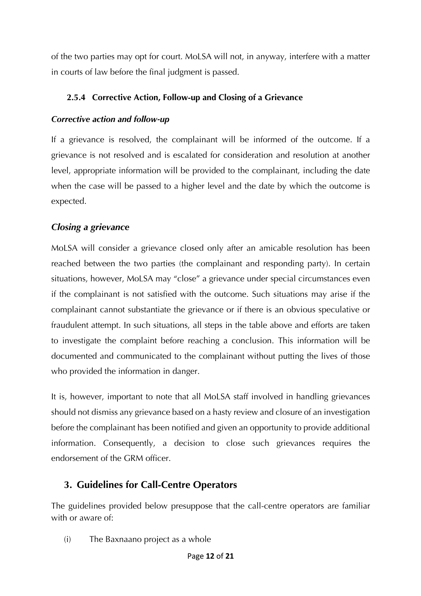of the two parties may opt for court. MoLSA will not, in anyway, interfere with a matter in courts of law before the final judgment is passed.

## **2.5.4 Corrective Action, Follow-up and Closing of a Grievance**

## *Corrective action and follow-up*

If a grievance is resolved, the complainant will be informed of the outcome. If a grievance is not resolved and is escalated for consideration and resolution at another level, appropriate information will be provided to the complainant, including the date when the case will be passed to a higher level and the date by which the outcome is expected.

## *Closing a grievance*

MoLSA will consider a grievance closed only after an amicable resolution has been reached between the two parties (the complainant and responding party). In certain situations, however, MoLSA may "close" a grievance under special circumstances even if the complainant is not satisfied with the outcome. Such situations may arise if the complainant cannot substantiate the grievance or if there is an obvious speculative or fraudulent attempt. In such situations, all steps in the table above and efforts are taken to investigate the complaint before reaching a conclusion. This information will be documented and communicated to the complainant without putting the lives of those who provided the information in danger.

It is, however, important to note that all MoLSA staff involved in handling grievances should not dismiss any grievance based on a hasty review and closure of an investigation before the complainant has been notified and given an opportunity to provide additional information. Consequently, a decision to close such grievances requires the endorsement of the GRM officer.

# **3. Guidelines for Call-Centre Operators**

The guidelines provided below presuppose that the call-centre operators are familiar with or aware of:

(i) The Baxnaano project as a whole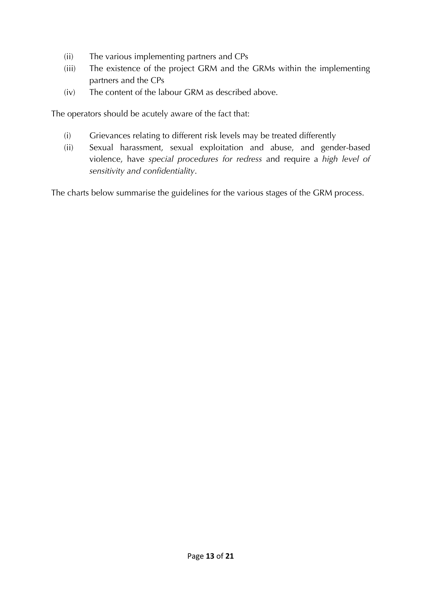- (ii) The various implementing partners and CPs
- (iii) The existence of the project GRM and the GRMs within the implementing partners and the CPs
- (iv) The content of the labour GRM as described above.

The operators should be acutely aware of the fact that:

- (i) Grievances relating to different risk levels may be treated differently
- (ii) Sexual harassment, sexual exploitation and abuse, and gender-based violence, have *special procedures for redress* and require a *high level of sensitivity and confidentiality*.

The charts below summarise the guidelines for the various stages of the GRM process.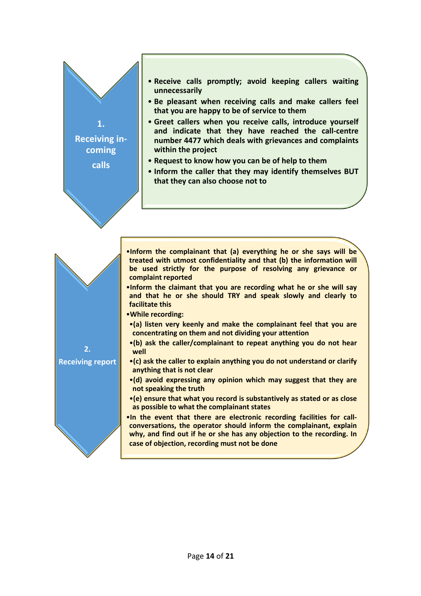#### • **Receive calls promptly; avoid keeping callers waiting unnecessarily**

- **Be pleasant when receiving calls and make callers feel that you are happy to be of service to them**
- **Greet callers when you receive calls, introduce yourself and indicate that they have reached the call-centre number 4477 which deals with grievances and complaints within the project**
- **Request to know how you can be of help to them**

**1.** 

**Receiving incoming**

**calls**

• **Inform the caller that they may identify themselves BUT that they can also choose not to**

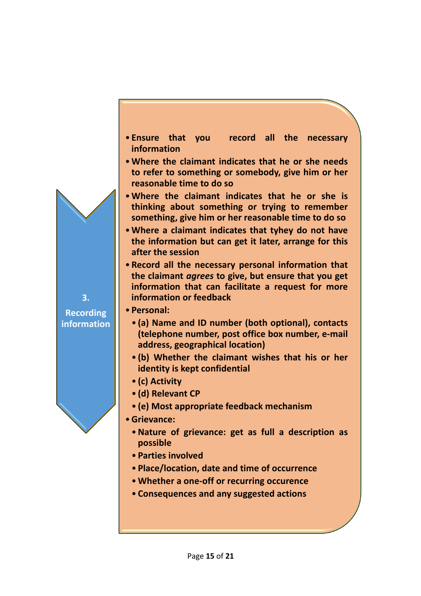

- •**Where the claimant indicates that he or she needs to refer to something or somebody, give him or her reasonable time to do so**
- •**Where the claimant indicates that he or she is thinking about something or trying to remember something, give him or her reasonable time to do so**
- •**Where a claimant indicates that tyhey do not have the information but can get it later, arrange for this after the session**
- **Record all the necessary personal information that the claimant** *agrees* **to give, but ensure that you get information that can facilitate a request for more information or feedback**
- **Personal:**
	- **(a) Name and ID number (both optional), contacts (telephone number, post office box number, e-mail address, geographical location)**
	- **(b) Whether the claimant wishes that his or her identity is kept confidential**
	- **(c) Activity**
	- **(d) Relevant CP**
	- **(e) Most appropriate feedback mechanism**
- •**Grievance:**
	- •**Nature of grievance: get as full a description as possible**
	- **Parties involved**
	- **Place/location, date and time of occurrence**
	- •**Whether a one-off or recurring occurence**
	- **Consequences and any suggested actions**

**Recording information**

**3.**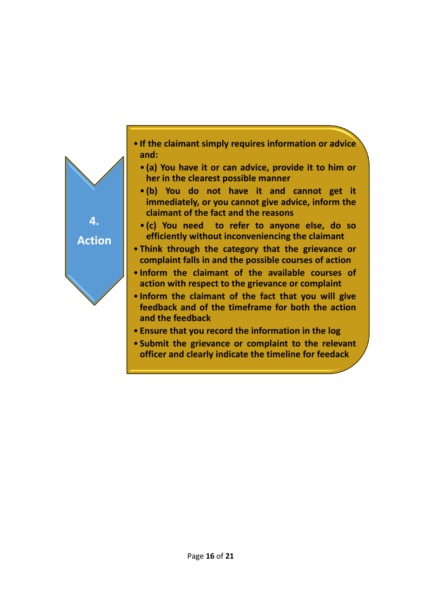

- **If the claimant simply requires information or advice and:**
	- **(a) You have it or can advice, provide it to him or her in the clearest possible manner**
	- **(b) You do not have it and cannot get it immediately, or you cannot give advice, inform the claimant of the fact and the reasons**
	- **(c) You need to refer to anyone else, do so efficiently without inconveniencing the claimant**
- **Think through the category that the grievance or complaint falls in and the possible courses of action**
- **Inform the claimant of the available courses of action with respect to the grievance or complaint**
- **Inform the claimant of the fact that you will give feedback and of the timeframe for both the action and the feedback**
- **Ensure that you record the information in the log**
- **Submit the grievance or complaint to the relevant officer and clearly indicate the timeline for feedack**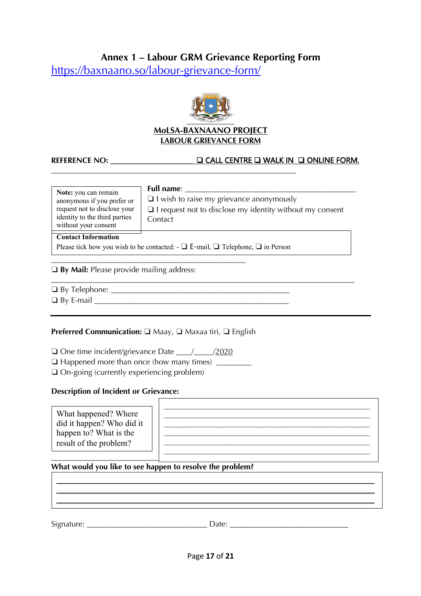## **Annex 1 – Labour GRM Grievance Reporting Form**

https://baxnaano.so/labour-grievance-form/



#### **MoLSA-BAXNAANO PROJECT LABOUR GRIEVANCE FORM**

#### **REFERENCE NO:** \_\_\_\_\_\_\_\_\_\_\_\_\_\_\_\_\_\_\_\_\_ ❏ CALL CENTRE ❏ WALK IN ❏ ONLINE FORM.

| Note: you can remain<br>anonymous if you prefer or<br>request not to disclose your<br>identity to the third parties<br>without your consent | <b>Full name:</b><br>$\Box$ I wish to raise my grievance anonymously<br>$\Box$ I request not to disclose my identity without my consent<br>Contact |
|---------------------------------------------------------------------------------------------------------------------------------------------|----------------------------------------------------------------------------------------------------------------------------------------------------|
| <b>Contact Information</b>                                                                                                                  |                                                                                                                                                    |

Please tick how you wish to be contacted:  $\Box$  E-mail,  $\Box$  Telephone,  $\Box$  in Person

**\_\_\_\_\_\_\_\_\_\_\_\_\_\_\_\_\_\_\_\_\_\_\_\_\_\_\_\_\_\_\_\_\_\_\_\_\_\_\_\_\_\_\_\_\_\_\_\_\_\_\_\_\_\_\_\_\_\_\_\_\_\_\_**

#### ❏ **By Mail:** Please provide mailing address:

❏ By Telephone: \_\_\_\_\_\_\_\_\_\_\_\_\_\_\_\_\_\_\_\_\_\_\_\_\_\_\_\_\_\_\_\_\_\_\_\_\_\_\_\_\_\_\_\_\_\_

 $\Box$  By E-mail  $\Box$ 

#### **Preferred Communication:** □ Maay, □ Maxaa tiri, □ English

**\_\_\_\_\_\_\_\_\_\_\_\_\_\_\_\_\_\_\_\_\_\_\_\_\_\_\_\_\_\_\_\_\_\_\_\_\_\_\_\_\_\_\_\_\_\_\_\_\_\_**

❏ One time incident/grievance Date \_\_\_\_/\_\_\_\_\_/2020

❏ Happened more than once (how many times) \_\_\_\_\_\_\_\_\_

❏ On-going (currently experiencing problem)

#### **Description of Incident or Grievance:**

| What happened? Where<br>did it happen? Who did it<br>happen to? What is the<br>result of the problem? |  |
|-------------------------------------------------------------------------------------------------------|--|
|-------------------------------------------------------------------------------------------------------|--|

\_\_\_\_\_\_\_\_\_\_\_\_\_\_\_\_\_\_\_\_\_\_\_\_\_\_\_\_\_\_\_\_\_\_\_\_\_\_\_\_\_\_\_\_\_\_\_\_\_\_\_\_\_\_\_\_\_\_\_\_\_\_\_\_\_\_\_\_\_\_\_\_\_\_\_ \_\_\_\_\_\_\_\_\_\_\_\_\_\_\_\_\_\_\_\_\_\_\_\_\_\_\_\_\_\_\_\_\_\_\_\_\_\_\_\_\_\_\_\_\_\_\_\_\_\_\_\_\_\_\_\_\_\_\_\_\_\_\_\_\_\_\_\_\_\_\_\_\_\_\_ \_\_\_\_\_\_\_\_\_\_\_\_\_\_\_\_\_\_\_\_\_\_\_\_\_\_\_\_\_\_\_\_\_\_\_\_\_\_\_\_\_\_\_\_\_\_\_\_\_\_\_\_\_\_\_\_\_\_\_\_\_\_\_\_\_\_\_\_\_\_\_\_\_\_\_

#### **What would you like to see happen to resolve the problem?**

Signature: etc. and the state of the Date:  $\Box$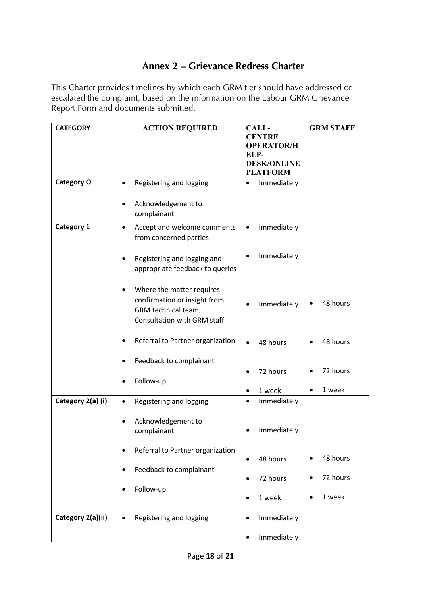## **Annex 2 – Grievance Redress Charter**

This Charter provides timelines by which each GRM tier should have addressed or escalated the complaint, based on the information on the Labour GRM Grievance Report Form and documents submitted.

| <b>CATEGORY</b>   | <b>ACTION REQUIRED</b>                                                                                                 | <b>CALL-</b><br><b>CENTRE</b><br><b>OPERATOR/H</b><br>ELP-<br><b>DESK/ONLINE</b><br><b>PLATFORM</b> | <b>GRM STAFF</b>    |
|-------------------|------------------------------------------------------------------------------------------------------------------------|-----------------------------------------------------------------------------------------------------|---------------------|
| <b>Category O</b> | Registering and logging<br>٠<br>Acknowledgement to                                                                     | Immediately<br>$\bullet$                                                                            |                     |
|                   | complainant                                                                                                            |                                                                                                     |                     |
| <b>Category 1</b> | Accept and welcome comments<br>$\bullet$<br>from concerned parties                                                     | Immediately<br>$\bullet$                                                                            |                     |
|                   | Registering and logging and<br>appropriate feedback to queries                                                         | Immediately                                                                                         |                     |
|                   | Where the matter requires<br>confirmation or insight from<br>GRM technical team,<br><b>Consultation with GRM staff</b> | Immediately                                                                                         | 48 hours            |
|                   | Referral to Partner organization                                                                                       | 48 hours<br>$\bullet$                                                                               | 48 hours            |
|                   | Feedback to complainant<br>Follow-up                                                                                   | 72 hours                                                                                            | 72 hours            |
|                   |                                                                                                                        | 1 week<br>$\bullet$                                                                                 | 1 week<br>$\bullet$ |
| Category 2(a) (i) | Registering and logging                                                                                                | Immediately<br>$\bullet$                                                                            |                     |
|                   | Acknowledgement to<br>complainant                                                                                      | Immediately                                                                                         |                     |
|                   | Referral to Partner organization<br>٠                                                                                  | 48 hours<br>$\bullet$                                                                               | 48 hours            |
|                   | Feedback to complainant<br>$\bullet$                                                                                   | 72 hours<br>$\bullet$                                                                               | 72 hours            |
|                   | Follow-up                                                                                                              | 1 week<br>$\bullet$                                                                                 | 1 week              |
| Category 2(a)(ii) | Registering and logging<br>$\bullet$                                                                                   | Immediately<br>$\bullet$                                                                            |                     |
|                   |                                                                                                                        | Immediately                                                                                         |                     |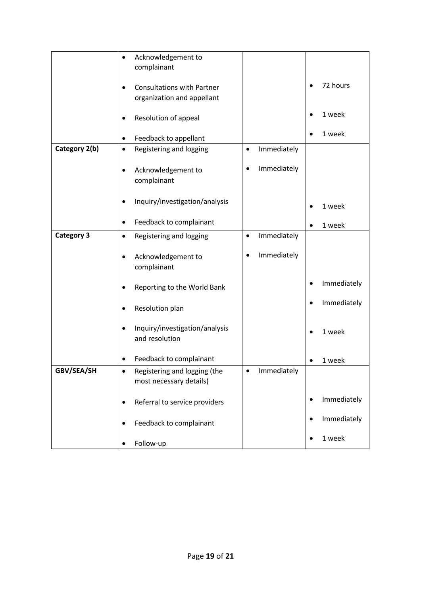|                   | Acknowledgement to<br>$\bullet$                                 |             |                          |
|-------------------|-----------------------------------------------------------------|-------------|--------------------------|
|                   | complainant                                                     |             |                          |
|                   |                                                                 |             | 72 hours                 |
|                   | <b>Consultations with Partner</b><br>organization and appellant |             |                          |
|                   |                                                                 |             |                          |
|                   | Resolution of appeal                                            |             | 1 week                   |
|                   | Feedback to appellant                                           |             | 1 week                   |
| Category 2(b)     | Registering and logging<br>$\bullet$<br>$\bullet$               | Immediately |                          |
|                   | Acknowledgement to<br>٠                                         | Immediately |                          |
|                   | complainant                                                     |             |                          |
|                   | Inquiry/investigation/analysis                                  |             |                          |
|                   |                                                                 |             | 1 week                   |
|                   | Feedback to complainant<br>٠                                    |             | 1 week                   |
| <b>Category 3</b> | Registering and logging<br>$\bullet$<br>$\bullet$               | Immediately |                          |
|                   |                                                                 |             |                          |
|                   | Acknowledgement to                                              | Immediately |                          |
|                   | complainant                                                     |             |                          |
|                   | Reporting to the World Bank                                     |             | Immediately              |
|                   | Resolution plan                                                 |             | Immediately              |
|                   | Inquiry/investigation/analysis                                  |             | 1 week                   |
|                   | and resolution                                                  |             |                          |
|                   | Feedback to complainant                                         |             | 1 week                   |
| GBV/SEA/SH        | Registering and logging (the                                    | Immediately |                          |
|                   | most necessary details)                                         |             |                          |
|                   |                                                                 |             | Immediately<br>$\bullet$ |
|                   | Referral to service providers<br>$\bullet$                      |             |                          |
|                   | Feedback to complainant                                         |             | Immediately              |
|                   | Follow-up                                                       |             | 1 week                   |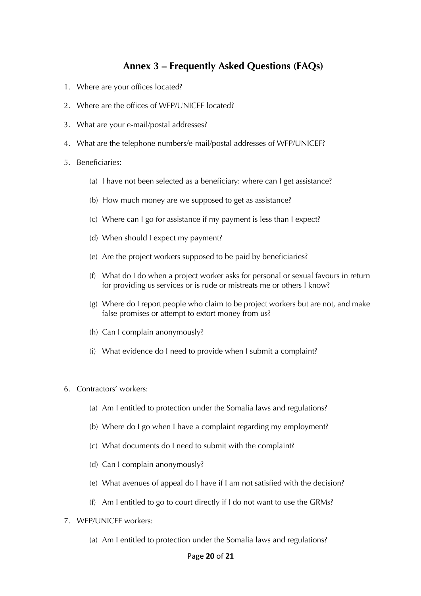## **Annex 3 – Frequently Asked Questions (FAQs)**

- 1. Where are your offices located?
- 2. Where are the offices of WFP/UNICEF located?
- 3. What are your e-mail/postal addresses?
- 4. What are the telephone numbers/e-mail/postal addresses of WFP/UNICEF?
- 5. Beneficiaries:
	- (a) I have not been selected as a beneficiary: where can I get assistance?
	- (b) How much money are we supposed to get as assistance?
	- (c) Where can I go for assistance if my payment is less than I expect?
	- (d) When should I expect my payment?
	- (e) Are the project workers supposed to be paid by beneficiaries?
	- (f) What do I do when a project worker asks for personal or sexual favours in return for providing us services or is rude or mistreats me or others I know?
	- (g) Where do I report people who claim to be project workers but are not, and make false promises or attempt to extort money from us?
	- (h) Can I complain anonymously?
	- (i) What evidence do I need to provide when I submit a complaint?
- 6. Contractors' workers:
	- (a) Am I entitled to protection under the Somalia laws and regulations?
	- (b) Where do I go when I have a complaint regarding my employment?
	- (c) What documents do I need to submit with the complaint?
	- (d) Can I complain anonymously?
	- (e) What avenues of appeal do I have if I am not satisfied with the decision?
	- (f) Am I entitled to go to court directly if I do not want to use the GRMs?
- 7. WFP/UNICEF workers:
	- (a) Am I entitled to protection under the Somalia laws and regulations?

#### Page **20** of **21**